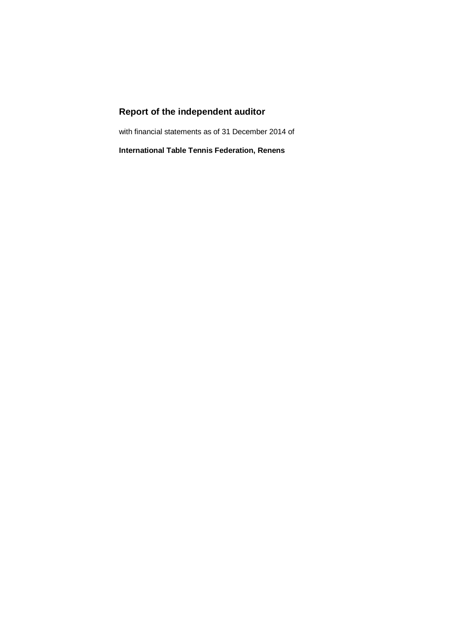# **Report of the independent auditor**

with financial statements as of 31 December 2014 of

**International Table Tennis Federation, Renens**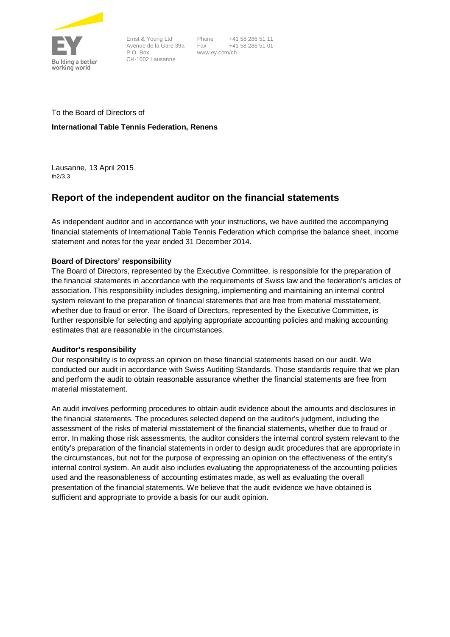

Ernst & Young Ltd Avenue de la Gare 39a P.O. Box CH-1002 Lausanne

Phone +41 58 286 51 11 Fax +41 58 286 51 01 www.ey.com/ch

To the Board of Directors of **International Table Tennis Federation, Renens**

Lausanne, 13 April 2015 th2/3.3

# **Report of the independent auditor on the financial statements**

As independent auditor and in accordance with your instructions, we have audited the accompanying financial statements of International Table Tennis Federation which comprise the balance sheet, income statement and notes for the year ended 31 December 2014.

# **Board of Directors' responsibility**

The Board of Directors, represented by the Executive Committee, is responsible for the preparation of the financial statements in accordance with the requirements of Swiss law and the federation's articles of association. This responsibility includes designing, implementing and maintaining an internal control system relevant to the preparation of financial statements that are free from material misstatement, whether due to fraud or error. The Board of Directors, represented by the Executive Committee, is further responsible for selecting and applying appropriate accounting policies and making accounting estimates that are reasonable in the circumstances.

# **Auditor's responsibility**

Our responsibility is to express an opinion on these financial statements based on our audit. We conducted our audit in accordance with Swiss Auditing Standards. Those standards require that we plan and perform the audit to obtain reasonable assurance whether the financial statements are free from material misstatement.

An audit involves performing procedures to obtain audit evidence about the amounts and disclosures in the financial statements. The procedures selected depend on the auditor's judgment, including the assessment of the risks of material misstatement of the financial statements, whether due to fraud or error. In making those risk assessments, the auditor considers the internal control system relevant to the entity's preparation of the financial statements in order to design audit procedures that are appropriate in the circumstances, but not for the purpose of expressing an opinion on the effectiveness of the entity's internal control system. An audit also includes evaluating the appropriateness of the accounting policies used and the reasonableness of accounting estimates made, as well as evaluating the overall presentation of the financial statements. We believe that the audit evidence we have obtained is sufficient and appropriate to provide a basis for our audit opinion.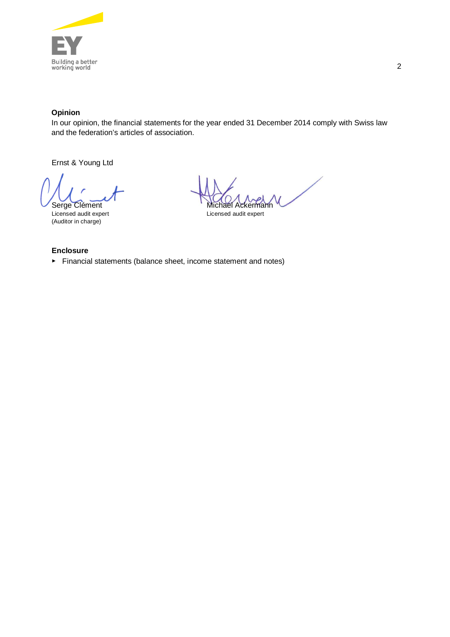

# **Opinion**

In our opinion, the financial statements for the year ended 31 December 2014 comply with Swiss law and the federation's articles of association.

Ernst & Young Ltd

(Auditor in charge)

Serge Clément Michael Ackermann<br>
Licensed audit expert Licensed audit expert Licensed audit expert Licensed audit expert

# **Enclosure**

► Financial statements (balance sheet, income statement and notes)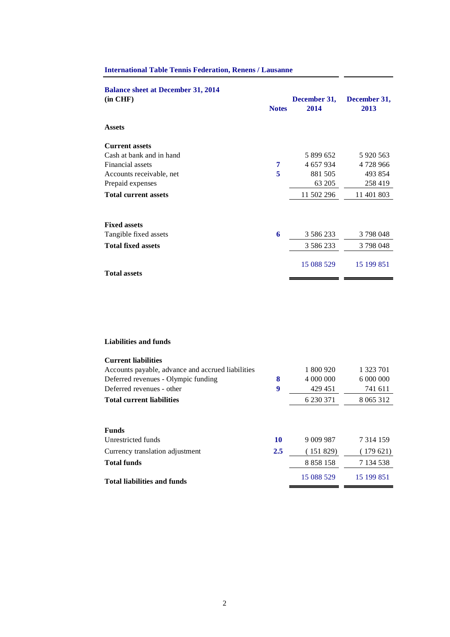| <b>Balance sheet at December 31, 2014</b><br>$(in$ CHF $)$ | <b>Notes</b> | December 31,<br>2014 | December 31,<br>2013 |
|------------------------------------------------------------|--------------|----------------------|----------------------|
| <b>Assets</b>                                              |              |                      |                      |
| <b>Current assets</b>                                      |              |                      |                      |
| Cash at bank and in hand                                   |              | 5 899 652            | 5 9 20 5 6 3         |
| Financial assets                                           | 7            | 4 657 934            | 4728966              |
| Accounts receivable, net                                   | 5            | 881 505              | 493 854              |
| Prepaid expenses                                           |              | 63 205               | 258 419              |
| <b>Total current assets</b>                                |              | 11 502 296           | 11 401 803           |
| <b>Fixed assets</b>                                        |              |                      |                      |
| Tangible fixed assets                                      | 6            | 3 5 8 6 2 3 3        | 3798048              |
| <b>Total fixed assets</b>                                  |              | 3 586 233            | 3798048              |
| <b>Total assets</b>                                        |              | 15 088 529           | 15 199 851           |

 $-$ 

# **International Table Tennis Federation, Renens / Lausanne**

# **Liabilities and funds**

| <b>Current liabilities</b>                        |     |               |               |
|---------------------------------------------------|-----|---------------|---------------|
| Accounts payable, advance and accrued liabilities |     | 1 800 920     | 1 323 701     |
| Deferred revenues - Olympic funding               | 8   | 4 000 000     | 6 000 000     |
| Deferred revenues - other                         | 9   | 429 451       | 741 611       |
| <b>Total current liabilities</b>                  |     | 6 230 371     | 8 0 6 5 3 1 2 |
|                                                   |     |               |               |
| <b>Funds</b>                                      |     |               |               |
| Unrestricted funds                                | 10  | 9 0 0 9 9 8 7 | 7 3 1 4 1 5 9 |
| Currency translation adjustment                   | 2.5 | (151829)      | (179621)      |
| <b>Total funds</b>                                |     | 8 8 5 8 1 5 8 | 7 134 538     |
| <b>Total liabilities and funds</b>                |     | 15 088 529    | 15 199 851    |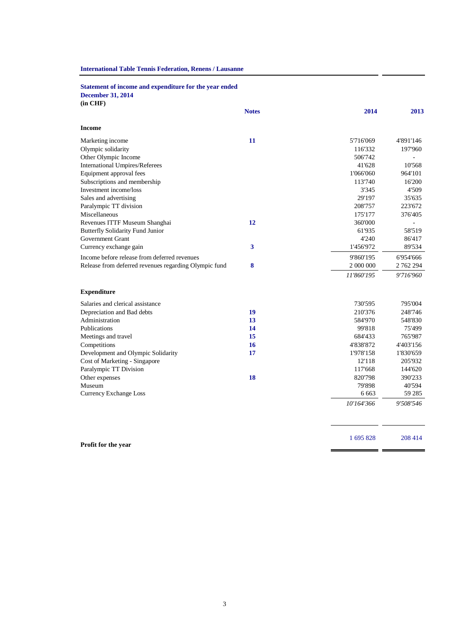| <b>December 31, 2014</b>                              |              |            |           |
|-------------------------------------------------------|--------------|------------|-----------|
| $(in$ $CHF)$                                          | <b>Notes</b> | 2014       | 2013      |
| <b>Income</b>                                         |              |            |           |
| Marketing income                                      | 11           | 5'716'069  | 4'891'146 |
| Olympic solidarity                                    |              | 116'332    | 197'960   |
| Other Olympic Income                                  |              | 506'742    |           |
| <b>International Umpires/Referees</b>                 |              | 41'628     | 10'568    |
| Equipment approval fees                               |              | 1'066'060  | 964'101   |
| Subscriptions and membership                          |              | 113'740    | 16'200    |
| Investment income/loss                                |              | 3'345      | 4'509     |
| Sales and advertising                                 |              | 29'197     | 35'635    |
| Paralympic TT division                                |              | 208'757    | 223'672   |
| Miscellaneous                                         |              | 175'177    | 376'405   |
| Revenues ITTF Museum Shanghai                         | 12           | 360'000    | $\omega$  |
| <b>Butterfly Solidarity Fund Junior</b>               |              | 61'935     | 58'519    |
| <b>Government Grant</b>                               |              | 4'240      | 86'417    |
| Currency exchange gain                                | 3            | 1'456'972  | 89'534    |
| Income before release from deferred revenues          |              | 9'860'195  | 6'954'666 |
| Release from deferred revenues regarding Olympic fund | 8            | 2 000 000  | 2 762 294 |
|                                                       |              | 11'860'195 | 9'716'960 |
| <b>Expenditure</b>                                    |              |            |           |
| Salaries and clerical assistance                      |              | 730'595    | 795'004   |
| Depreciation and Bad debts                            | 19           | 210'376    | 248'746   |
| Administration                                        | 13           | 584'970    | 548'830   |
| Publications                                          | 14           | 99'818     | 75'499    |
| Meetings and travel                                   | 15           | 684'433    | 765'987   |
| Competitions                                          | 16           | 4'838'872  | 4'403'156 |
| Development and Olympic Solidarity                    | 17           | 1'978'158  | 1'830'659 |
| Cost of Marketing - Singapore                         |              | 12'118     | 205'932   |
| Paralympic TT Division                                |              | 117'668    | 144'620   |
| Other expenses                                        | 18           | 820'798    | 390'233   |
| Museum                                                |              | 79'898     | 40'594    |
| <b>Currency Exchange Loss</b>                         |              | 6 6 63     | 59 28 5   |
|                                                       |              | 10'164'366 | 9'508'546 |
|                                                       |              |            |           |

# **Profit for the year**

1 695 828 208 414

j.

# **International Table Tennis Federation, Renens / Lausanne**

**Statement of income and expenditure for the year ended**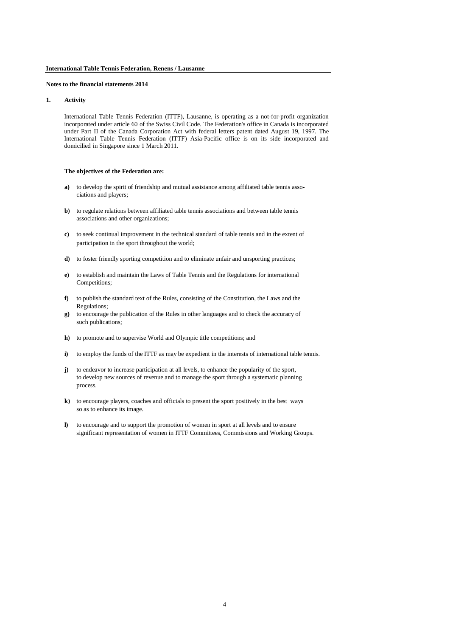#### **1. Activity**

International Table Tennis Federation (ITTF), Lausanne, is operating as a not-for-profit organization incorporated under article 60 of the Swiss Civil Code. The Federation's office in Canada is incorporated under Part II of the Canada Corporation Act with federal letters patent dated August 19, 1997. The International Table Tennis Federation (ITTF) Asia-Pacific office is on its side incorporated and domicilied in Singapore since 1 March 2011.

#### **The objectives of the Federation are:**

- **a)** to develop the spirit of friendship and mutual assistance among affiliated table tennis associations and players;
- **b**) to regulate relations between affiliated table tennis associations and between table tennis associations and other organizations;
- **c)** to seek continual improvement in the technical standard of table tennis and in the extent of participation in the sport throughout the world;
- **d)** to foster friendly sporting competition and to eliminate unfair and unsporting practices;
- **e)** to establish and maintain the Laws of Table Tennis and the Regulations for international Competitions;
- **f)** to publish the standard text of the Rules, consisting of the Constitution, the Laws and the Regulations;
- **g)** to encourage the publication of the Rules in other languages and to check the accuracy of such publications;
- **h)** to promote and to supervise World and Olympic title competitions; and
- **i)** to employ the funds of the ITTF as may be expedient in the interests of international table tennis.
- **j**) to endeavor to increase participation at all levels, to enhance the popularity of the sport, to develop new sources of revenue and to manage the sport through a systematic planning process.
- **k)** to encourage players, coaches and officials to present the sport positively in the best ways so as to enhance its image.
- **l)** to encourage and to support the promotion of women in sport at all levels and to ensure significant representation of women in ITTF Committees, Commissions and Working Groups.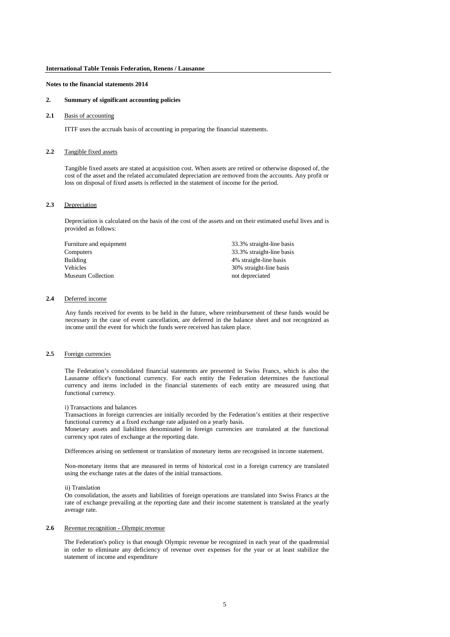### **2. Summary of significant accounting policies**

#### 2.1 Basis of accounting

ITTF uses the accruals basis of accounting in preparing the financial statements.

#### **2.2** Tangible fixed assets

Tangible fixed assets are stated at acquisition cost. When assets are retired or otherwise disposed of, the cost of the asset and the related accumulated depreciation are removed from the accounts. Any profit or loss on disposal of fixed assets is reflected in the statement of income for the period.

### **2.3** Depreciation

Depreciation is calculated on the basis of the cost of the assets and on their estimated useful lives and is provided as follows:

| Furniture and equipment | 33.3% straight-line basis |
|-------------------------|---------------------------|
| Computers               | 33.3% straight-line basis |
| <b>Building</b>         | 4% straight-line basis    |
| <b>Vehicles</b>         | 30% straight-line basis   |
| Museum Collection       | not depreciated           |

#### **2.4** Deferred income

Any funds received for events to be held in the future, where reimbursement of these funds would be necessary in the case of event cancellation, are deferred in the balance sheet and not recognized as income until the event for which the funds were received has taken place.

### **2.5** Foreign currencies

The Federation's consolidated financial statements are presented in Swiss Francs, which is also the Lausanne office's functional currency. For each entity the Federation determines the functional currency and items included in the financial statements of each entity are measured using that functional currency.

#### i) Transactions and balances

Transactions in foreign currencies are initially recorded by the Federation's entities at their respective functional currency at a fixed exchange rate adjusted on a yearly basis.

Monetary assets and liabilities denominated in foreign currencies are translated at the functional currency spot rates of exchange at the reporting date.

Differences arising on settlement or translation of monetary items are recognised in income statement.

Non-monetary items that are measured in terms of historical cost in a foreign currency are translated using the exchange rates at the dates of the initial transactions.

#### ii) Translation

On consolidation, the assets and liabilities of foreign operations are translated into Swiss Francs at the rate of exchange prevailing at the reporting date and their income statement is translated at the yearly average rate.

### **2.6** Revenue recognition - Olympic revenue

The Federation's policy is that enough Olympic revenue be recognized in each year of the quadrennial in order to eliminate any deficiency of revenue over expenses for the year or at least stabilize the statement of income and expenditure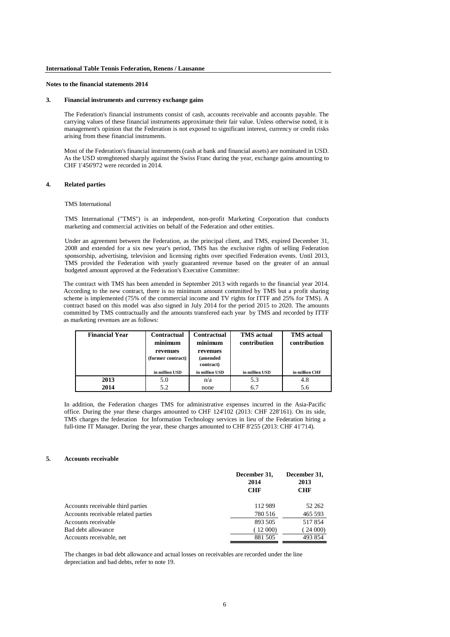#### **3. Financial instruments and currency exchange gains**

The Federation's financial instruments consist of cash, accounts receivable and accounts payable. The carrying values of these financial instruments approximate their fair value. Unless otherwise noted, it is management's opinion that the Federation is not exposed to significant interest, currency or credit risks arising from these financial instruments.

Most of the Federation's financial instruments (cash at bank and financial assets) are nominated in USD. As the USD strenghtened sharply against the Swiss Franc during the year, exchange gains amounting to CHF 1'456'972 were recorded in 2014.

#### **4. Related parties**

### TMS International

TMS International ("TMS") is an independent, non-profit Marketing Corporation that conducts marketing and commercial activities on behalf of the Federation and other entities.

Under an agreement between the Federation, as the principal client, and TMS, expired December 31, 2008 and extended for a six new year's period, TMS has the exclusive rights of selling Federation sponsorship, advertising, television and licensing rights over specified Federation events. Until 2013, TMS provided the Federation with yearly guaranteed revenue based on the greater of an annual budgeted amount approved at the Federation's Executive Committee:

The contract with TMS has been amended in September 2013 with regards to the financial year 2014. According to the new contract, there is no minimum amount committed by TMS but a profit sharing scheme is implemented (75% of the commercial income and TV rights for ITTF and 25% for TMS). A contract based on this model was also signed in July 2014 for the period 2015 to 2020. The amounts committed by TMS contractually and the amounts transfered each year by TMS and recorded by ITTF as marketing revenues are as follows:

| <b>Financial Year</b> | Contractual       | Contractual    | <b>TMS</b> actual | <b>TMS</b> actual |
|-----------------------|-------------------|----------------|-------------------|-------------------|
|                       | minimum           | minimum        | contribution      | contribution      |
|                       | revenues          | revenues       |                   |                   |
|                       | (former contract) | (amended       |                   |                   |
|                       |                   | contract)      |                   |                   |
|                       | in million USD    | in million USD | in million USD    | in million CHF    |
| 2013                  | 5.0               | n/a            | 5.3               | 4.8               |
| 2014                  | 5.2               | none           | 6.7               |                   |

In addition, the Federation charges TMS for administrative expenses incurred in the Asia-Pacific office. During the year these charges amounted to CHF 124'102 (2013: CHF 228'161). On its side, TMS charges the federation for Information Technology services in lieu of the Federation hiring a full-time IT Manager. During the year, these charges amounted to CHF 8'255 (2013: CHF 41'714).

### **5. Accounts receivable**

|                                     | December 31,<br>2014<br><b>CHF</b> | December 31,<br>2013<br><b>CHF</b> |
|-------------------------------------|------------------------------------|------------------------------------|
| Accounts receivable third parties   | 112 989                            | 52 262                             |
| Accounts receivable related parties | 780 516                            | 465 593                            |
| Accounts receivable                 | 893 505                            | 517854                             |
| Bad debt allowance                  | 12000                              | 24000                              |
| Accounts receivable, net            | 881 505                            | 493 854                            |

The changes in bad debt allowance and actual losses on receivables are recorded under the line depreciation and bad debts, refer to note 19.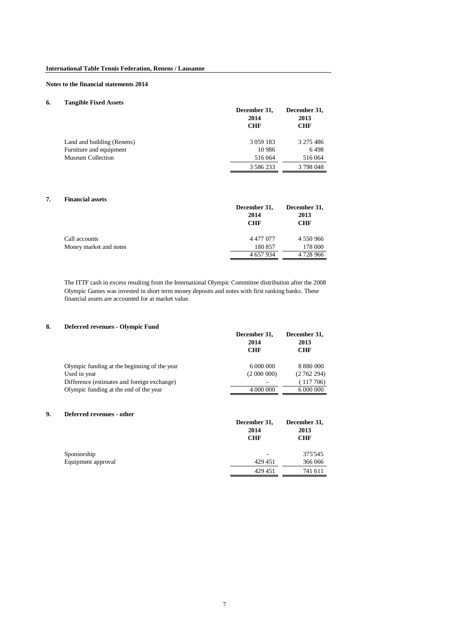### **6. Tangible Fixed Assets**

|                            | December 31,<br>2014<br><b>CHF</b> | December 31,<br>2013<br><b>CHF</b> |
|----------------------------|------------------------------------|------------------------------------|
| Land and building (Renens) | 3 0 59 1 83                        | 3 2 7 5 4 8 6                      |
| Furniture and equipment    | 10 986                             | 6498                               |
| Museum Collection          | 516 064                            | 516 064                            |
|                            | 3 5 8 6 2 3 3                      | 3798048                            |

### **7. Financial assets**

|                        | December 31,<br>2014<br>CHF | December 31,<br>2013<br><b>CHF</b> |
|------------------------|-----------------------------|------------------------------------|
| Call accounts          | 4 4 7 7 0 7 7               | 4 550 966                          |
| Money market and notes | 180 857                     | 178 000                            |
|                        | 4 657 934                   | 4 728 966                          |

The ITTF cash in excess resulting from the International Olympic Committee distribution after the 2008 Olympic Games was invested in short term money deposits and notes with first ranking banks. These financial assets are accounted for at market value.

### **8. Deferred revenues - Olympic Fund**

|                                              | December 31,<br>2014<br><b>CHF</b> | December 31,<br>2013<br>CHF |
|----------------------------------------------|------------------------------------|-----------------------------|
| Olympic funding at the beginning of the year | 6 000 000                          |                             |
| Used in year                                 | (2000000)                          | (2762294)                   |
| Difference (estimates and foreign exchange)  | ۰                                  | 117 706)                    |
| Olympic funding at the end of the year       | 4 000 000                          | 6 000 000                   |

### **9. Deferred revenues - other**

|                    | December 31,<br>2014<br><b>CHF</b> | December 31,<br>2013<br><b>CHF</b> |
|--------------------|------------------------------------|------------------------------------|
| Sponsorship        | ۰                                  | 375'545                            |
| Equipment approval | 429 451                            | 366 066                            |
|                    | 429 451                            | 741 611                            |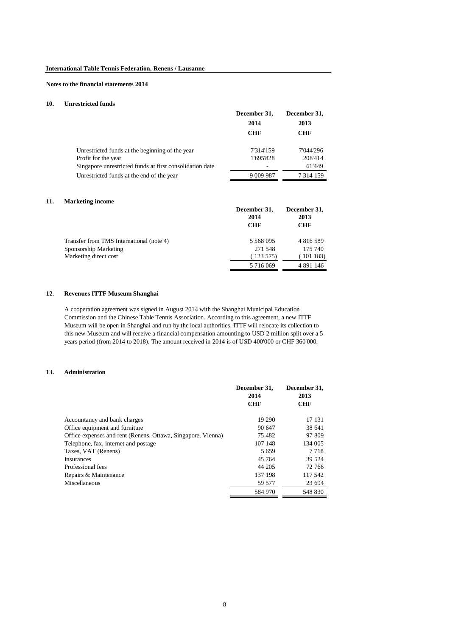### **10. Unrestricted funds**

|                                                          | December 31,  | December 31, |
|----------------------------------------------------------|---------------|--------------|
|                                                          | 2014          | 2013         |
|                                                          | CHF           | CHF          |
| Unrestricted funds at the beginning of the year          | 7'314'159     | 7'044'296    |
| Profit for the year                                      | 1'695'828     | 208'414      |
| Singapore unrestricted funds at first consolidation date |               | 61'449       |
| Unrestricted funds at the end of the year                | 9 0 0 9 9 8 7 | 7 3 14 1 5 9 |

### **11. Marketing income**

|                                          | December 31,<br>2014<br><b>CHF</b> | December 31,<br>2013<br>CHF |
|------------------------------------------|------------------------------------|-----------------------------|
| Transfer from TMS International (note 4) | 5 5 6 8 0 9 5                      | 4 8 1 6 5 8 9               |
| Sponsorship Marketing                    | 271 548                            | 175 740                     |
| Marketing direct cost                    | (123575)                           | (101183)                    |
|                                          | 5 716 069                          | 4 891 146                   |

### **12. Revenues ITTF Museum Shanghai**

A cooperation agreement was signed in August 2014 with the Shanghai Municipal Education Commission and the Chinese Table Tennis Association. According to this agreement, a new ITTF Museum will be open in Shanghai and run by the local authorities. ITTF will relocate its collection to this new Museum and will receive a financial compensation amounting to USD 2 million split over a 5 years period (from 2014 to 2018). The amount received in 2014 is of USD 400'000 or CHF 360'000.

### **13. Administration**

|                                                              | December 31,<br>2014<br><b>CHF</b> | December 31,<br>2013<br><b>CHF</b> |
|--------------------------------------------------------------|------------------------------------|------------------------------------|
| Accountancy and bank charges                                 | 19 290                             | 17 13 1                            |
| Office equipment and furniture                               | 90 647                             | 38 641                             |
| Office expenses and rent (Renens, Ottawa, Singapore, Vienna) | 75 482                             | 97 809                             |
| Telephone, fax, internet and postage                         | 107 148                            | 134 005                            |
| Taxes, VAT (Renens)                                          | 5659                               | 7 7 1 8                            |
| <b>Insurances</b>                                            | 45 764                             | 39 5 24                            |
| Professional fees                                            | 44 205                             | 72 766                             |
| Repairs & Maintenance                                        | 137 198                            | 117 542                            |
| Miscellaneous                                                | 59 577                             | 23 694                             |
|                                                              | 584 970                            | 548 830                            |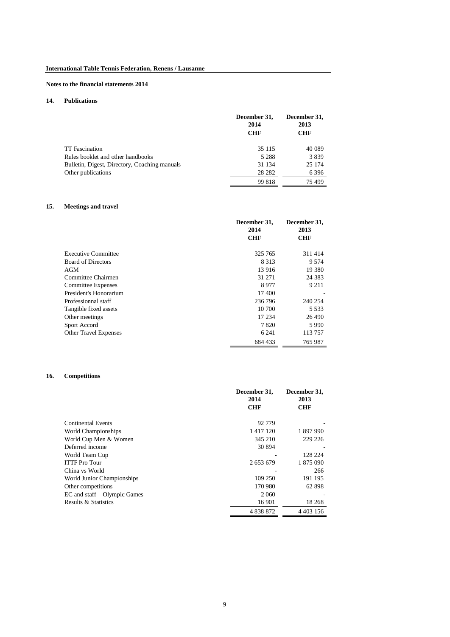### **14. Publications**

|                                               | December 31,<br>2014<br><b>CHF</b> | December 31,<br>2013<br><b>CHF</b> |
|-----------------------------------------------|------------------------------------|------------------------------------|
| <b>TT</b> Fascination                         | 35 115                             | 40 0 89                            |
| Rules booklet and other handbooks             | 5 2 8 8                            | 3839                               |
| Bulletin, Digest, Directory, Coaching manuals | 31 134                             | 25 174                             |
| Other publications                            | 28 28 2                            | 6 3 9 6                            |
|                                               | 99 818                             | 75499                              |

# **15. Meetings and travel**

|                              | December 31,<br>2014<br><b>CHF</b> | December 31,<br>2013<br><b>CHF</b> |
|------------------------------|------------------------------------|------------------------------------|
|                              |                                    |                                    |
| <b>Executive Committee</b>   | 325 765                            | 311414                             |
| <b>Board of Directors</b>    | 8 3 1 3                            | 9 5 7 4                            |
| <b>AGM</b>                   | 13 916                             | 19 380                             |
| Committee Chairmen           | 31 271                             | 24 3 8 3                           |
| Committee Expenses           | 8977                               | 9 2 1 1                            |
| President's Honorarium       | 17 400                             |                                    |
| Professionnal staff          | 236 796                            | 240 254                            |
| Tangible fixed assets        | 10 700                             | 5 5 3 3                            |
| Other meetings               | 17 234                             | 26 490                             |
| Sport Accord                 | 7820                               | 5990                               |
| <b>Other Travel Expenses</b> | 6 2 4 1                            | 113757                             |
|                              | 684 433                            | 765 987                            |

### **16. Competitions**

|                              | December 31,<br>2014<br><b>CHF</b> | December 31,<br>2013<br><b>CHF</b> |
|------------------------------|------------------------------------|------------------------------------|
| <b>Continental Events</b>    | 92 779                             |                                    |
| World Championships          | 1 4 1 7 1 2 0                      | 1897990                            |
| World Cup Men & Women        | 345 210                            | 229 226                            |
| Deferred income              | 30 894                             |                                    |
| World Team Cup               |                                    | 128 224                            |
| <b>ITTF Pro Tour</b>         | 2653679                            | 1 875 090                          |
| China vs World               |                                    | 266                                |
| World Junior Championships   | 109 250                            | 191 195                            |
| Other competitions           | 170 980                            | 62 898                             |
| EC and staff - Olympic Games | 2 0 6 0                            |                                    |
| Results & Statistics         | 16 901                             | 18 268                             |
|                              | 4838872                            | 4 4 0 3 1 5 6                      |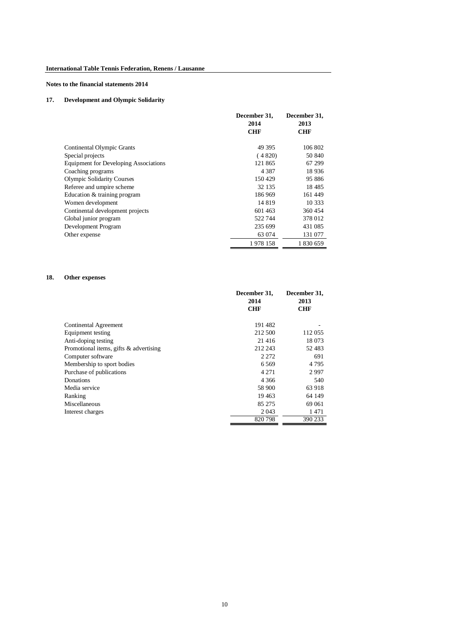# **17. Development and Olympic Solidarity**

|                                              | December 31, | December 31, |
|----------------------------------------------|--------------|--------------|
|                                              | 2014         | 2013         |
|                                              | <b>CHF</b>   | <b>CHF</b>   |
| Continental Olympic Grants                   | 49 39 5      | 106 802      |
| Special projects                             | (4820)       | 50 840       |
| <b>Equipment for Developing Associations</b> | 121 865      | 67 299       |
| Coaching programs                            | 4 387        | 18 936       |
| <b>Olympic Solidarity Courses</b>            | 150429       | 95 886       |
| Referee and umpire scheme                    | 32 135       | 18485        |
| Education & training program                 | 186 969      | 161449       |
| Women development                            | 14 819       | 10 333       |
| Continental development projects             | 601463       | 360454       |
| Global junior program                        | 522 744      | 378 012      |
| Development Program                          | 235 699      | 431 085      |
| Other expense                                | 63 074       | 131 077      |
|                                              | 1978 158     | 1830659      |

# **18. Other expenses**

|                                        | December 31,<br>2014 | December 31,<br>2013 |
|----------------------------------------|----------------------|----------------------|
|                                        | <b>CHF</b>           | <b>CHF</b>           |
| Continental Agreement                  | 191482               |                      |
| Equipment testing                      | 212 500              | 112 055              |
| Anti-doping testing                    | 21 416               | 18 073               |
| Promotional items, gifts & advertising | 212 243              | 52483                |
| Computer software                      | 2 2 7 2              | 691                  |
| Membership to sport bodies             | 6569                 | 4 7 9 5              |
| Purchase of publications               | 4 2 7 1              | 2997                 |
| Donations                              | 4 3 6 6              | 540                  |
| Media service                          | 58 900               | 63 918               |
| Ranking                                | 19 4 63              | 64 149               |
| Miscellaneous                          | 85 275               | 69 061               |
| Interest charges                       | 2043                 | 1471                 |
|                                        | 820798               | 390 233              |